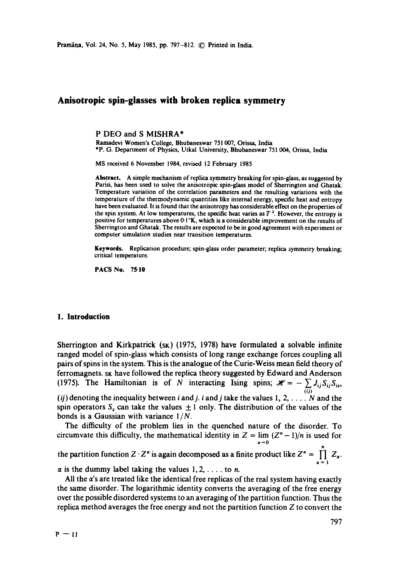# **Anisotropic spin-glasses with broken replica symmetry**

P DEO and S MISHRA\*

Ramadevi Women's College, Bhubaneswar 751 007, Orissa, India \*P. G. Department of Physics, Utkal University, Bhubaneswar 751 004, Orissa, India

MS received 6 November 1984, revised 12 February 1985

Abstract. A simple mechanism of replica symmetry breaking for spin-glass, as suggested by Parisi, has been used to solve the anisotropic spin-glass model of Sherrington and Ghatak. Temperature variation of the correlation parameters and the resulting variations with the temperature of the thermodynamic quantities like internal energy, specific heat and entropy have been evaluated. It is found that the anisotropy has considerable effect on the properties of the spin system. At low temperatures, the specific heat varies as  $T<sup>2</sup>$ . However, the entropy is positive for temperatures above 0.1°K, which is a considerable improvement on the results of Sherrington and Ghatak. The results are expected to be in good agreement with experiment or computer simulation studies near transition temperatures.

Keywords. Replication procedure; spin-glass order parameter; replica symmetry breaking; critical temperature.

PACS No. 75.10

### **1. Introduction**

Sherrington and Kirkpatrick  $(s<sub>K</sub>)$  (1975, 1978) have formulated a solvable infinite ranged model of spin-glass which consists of long range exchange forces coupling all pairs of spins in the system. This is the analogue of the Curie-Weiss mean field theory of ferromagnets, sk have followed the replica theory suggested by Edward and Anderson (1975). The Hamiltonian is of N interacting Ising spins;  $\mathcal{H} = -\sum J_{ij}S_{ij}S_{iz}$ , (*ij*) denoting the inequality between *i* and *j*. *i* and *j* take the values 1, 2, ... N and the spin operators  $S<sub>z</sub>$  can take the values  $\pm 1$  only. The distribution of the values of the

bonds is a Gaussian with variance 1 *IN.* 

The difficulty of the problem lies in the quenched nature of the disorder. To circumvate this difficulty, the mathematical identity in  $Z = \lim (Z<sup>n</sup> - 1)/n$  is used for  $n \rightarrow 0$ the partition function  $Z \cdot Z^n$  is again decomposed as a finite product like  $Z^n = \prod Z_{\alpha}$ .

 $\alpha$  is the dummy label taking the values 1, 2, ... to n.

All the  $\alpha$ 's are treated like the identical free replicas of the real system having exactly the same disorder. The logarithmic identity converts the averaging of the free energy over the possible disordered systems to an averaging of the partition function. Thus the replica method averages the free energy and not the partition function Z to convert the

 $\alpha=1$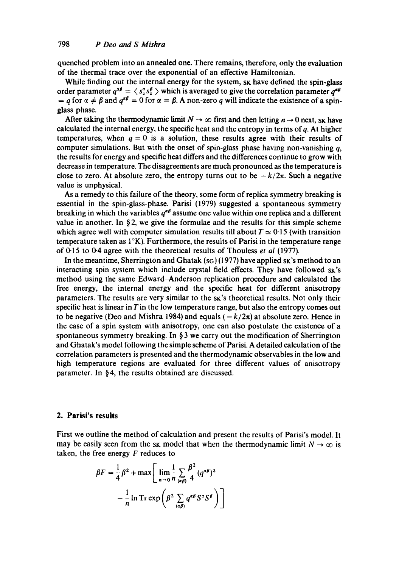quenched problem into an annealed one. There remains, therefore, only the evaluation of the thermal trace over the exponential of an effective Hamiltonian.

While finding out the internal energy for the system, sk have defined the spin-glass order parameter  $q^{\alpha\beta} = \langle s^{\alpha}_z s^{\beta}_z \rangle$  which is averaged to give the correlation parameter  $q^{\alpha\beta}$ =  $a$  for  $\alpha \neq \beta$  and  $a^{\alpha\beta} = 0$  for  $\alpha = \beta$ . A non-zero q will indicate the existence of a spinglass phase.

After taking the thermodynamic limit  $N \to \infty$  first and then letting  $n \to 0$  next, sk have calculated the internal energy, the specific heat and the entropy in terms of  $q$ . At higher temperatures, when  $q = 0$  is a solution, these results agree with their results of computer simulations. But with the onset of spin-glass phase having non-vanishing  $q$ , the results for energy and specific heat differs and the differences continue to grow with decrease in temperature. The disagreements are much pronounced as the temperature is close to zero. At absolute zero, the entropy turns out to be  $-k/2\pi$ . Such a negative value is unphysical.

As a remedy to this failure of the theory, some form of replica symmetry breaking is essential in the spin-glass-phase. Parisi (1979) suggested a spontaneous symmetry breaking in which the variables  $q^{\alpha\beta}$  assume one value within one replica and a different value in another. In  $\S$ 2, we give the formulae and the results for this simple scheme which agree well with computer simulation results till about  $T \approx 0.15$  (with transition temperature taken as  $1^{\circ}K$ ). Furthermore, the results of Parisi in the temperature range of 0"15 to 0.4 agree with the theoretical results of Thouless *et al* (1977).

In the meantime, Sherrington and Ghatak  $(s_G)(1977)$  have applied sk 's method to an interacting spin system which include crystal field effects. They have followed  $s<sub>K</sub>'s$ method using the same Edward-Anderson replication procedure and calculated the free energy, the internal energy and the specific heat for different anisotropy parameters. The results are very similar to the sk's theoretical results. Not only their specific heat is linear in  $T$  in the low temperature range, but also the entropy comes out to be negative (Deo and Mishra 1984) and equals  $(-k/2\pi)$  at absolute zero. Hence in the case of a spin system with anisotropy, one can also postulate the existence of a spontaneous symmetry breaking. In  $\S$  3 we carry out the modification of Sherrington and Ghatak's model following the simple scheme of Parisi. A detailed calculation of the correlation parameters is presented and the thermodynamic observables in the low and high temperature regions are evaluated for three different values of anisotropy parameter. In § 4, the results obtained are discussed.

#### **2. Parisi's results**

First we outline the method of calculation and present the results of Parisi's model. It may be easily seen from the sk model that when the thermodynamic limit  $N \to \infty$  is taken, the free energy  $F$  reduces to

$$
\beta F = \frac{1}{4}\beta^2 + \max\left[\lim_{n\to 0} \frac{1}{n} \sum_{(\alpha\beta)} \frac{\beta^2}{4} (q^{\alpha\beta})^2 - \frac{1}{n} \ln \mathrm{Tr} \exp\left(\beta^2 \sum_{(\alpha\beta)} q^{\alpha\beta} S^{\alpha} S^{\beta}\right)\right]
$$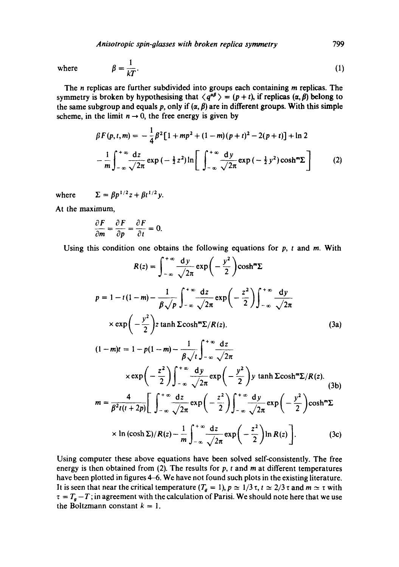where 
$$
\beta = \frac{1}{kT}
$$
. (1)

The *n* replicas are further subdivided into groups each containing *m* replicas. The symmetry is broken by hypothesising that  $\langle q^{a\beta} \rangle = (p + t)$ , if replicas  $(\alpha, \beta)$  belong to the same subgroup and equals p, only if  $(\alpha, \beta)$  are in different groups. With this simple scheme, in the limit  $n \to 0$ , the free energy is given by

$$
\beta F(p, t, m) = -\frac{1}{4} \beta^2 [1 + mp^2 + (1 - m)(p + t)^2 - 2(p + t)] + \ln 2
$$
  

$$
-\frac{1}{m} \int_{-\infty}^{+\infty} \frac{dz}{\sqrt{2\pi}} \exp(-\frac{1}{2}z^2) \ln \left[ \int_{-\infty}^{+\infty} \frac{dy}{\sqrt{2\pi}} \exp(-\frac{1}{2}y^2) \cosh^m \Sigma \right]
$$
(2)

where  $\Sigma = \beta p^{1/2} z + \beta t^{1/2} y$ .

At the maximum,

$$
\frac{\partial F}{\partial m} = \frac{\partial F}{\partial p} = \frac{\partial F}{\partial t} = 0.
$$

Using this condition one obtains the following equations for  $p$ ,  $t$  and  $m$ . With

$$
R(z) = \int_{-\infty}^{+\infty} \frac{dy}{\sqrt{2\pi}} \exp\left(-\frac{y^2}{2}\right) \cosh^m \Sigma
$$
  
\n
$$
p = 1 - t(1 - m) - \frac{1}{\beta \sqrt{p}} \int_{-\infty}^{+\infty} \frac{dz}{\sqrt{2\pi}} \exp\left(-\frac{z^2}{2}\right) \int_{-\infty}^{+\infty} \frac{dy}{\sqrt{2\pi}}
$$
  
\n
$$
\times \exp\left(-\frac{y^2}{2}\right) z \tanh \Sigma \cosh^m \Sigma / R(z). \qquad (3a)
$$
  
\n
$$
(1 - m)t = 1 - p(1 - m) - \frac{1}{\beta \sqrt{t}} \int_{-\infty}^{+\infty} \frac{dz}{\sqrt{2\pi}}
$$
  
\n
$$
\times \exp\left(-\frac{z^2}{2}\right) \int_{-\infty}^{+\infty} \frac{dy}{\sqrt{2\pi}} \exp\left(-\frac{y^2}{2}\right) y \tanh \Sigma \cosh^m \Sigma / R(z). \qquad (3b)
$$
  
\n
$$
m = \frac{4}{\beta^2 t(t + 2p)} \left[ \int_{-\infty}^{+\infty} \frac{dz}{\sqrt{2\pi}} \exp\left(-\frac{z^2}{2}\right) \int_{-\infty}^{+\infty} \frac{dy}{\sqrt{2\pi}} \exp\left(-\frac{y^2}{2}\right) \cosh^m \Sigma
$$
  
\n
$$
\times \ln (\cosh \Sigma) / R(z) - \frac{1}{m} \int_{-\infty}^{+\infty} \frac{dz}{\sqrt{2\pi}} \exp\left(-\frac{z^2}{2}\right) \ln R(z) \right]. \qquad (3c)
$$

Using computer these above equations have been solved self-consistently. The free energy is then obtained from (2). The results for  $p$ ,  $t$  and  $m$  at different temperatures have been plotted in figures 4-6. We have not found such plots in the existing literature. It is seen that near the critical temperature  $(T_g = 1)$ ,  $p \approx 1/3 \tau$ ,  $t \approx 2/3 \tau$  and  $m \approx \tau$  with  $\tau = T_g - T$ ; in agreement with the calculation of Parisi. We should note here that we use the Boltzmann constant  $k = 1$ .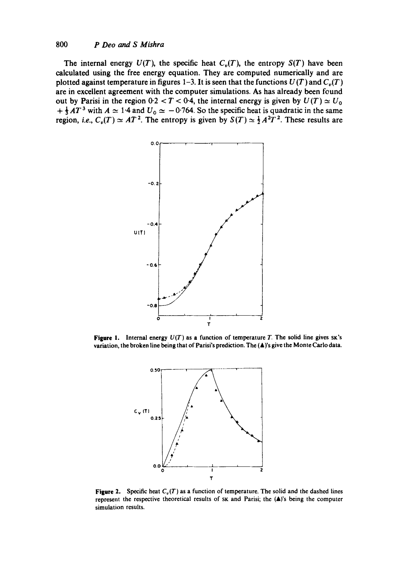### *800 P Deo and S Mishra*

The internal energy  $U(T)$ , the specific heat  $C_v(T)$ , the entropy  $S(T)$  have been **calculated using the free energy equation. They are computed numerically and are plotted against temperature in figures 1-3. It is seen that the functions**  $U(T)$  **and**  $C<sub>n</sub>(T)$ **are in excellent agreement with the computer simulations. As has already been found**  out by Parisi in the region  $0.2 < T < 0.4$ , the internal energy is given by  $U(T) \simeq U_0$  $+$   $\frac{1}{2}AT^3$  with  $A \simeq 1.4$  and  $U_0 \simeq -0.764$ . So the specific heat is quadratic in the same **region,** *i.e.,* $C_v(T) \simeq AT^2$ **. The entropy is given by**  $S(T) \simeq \frac{1}{2}A^2T^2$ **. These results are** 



**Figure 1.** Internal energy  $U(T)$  as a function of temperature T. The solid line gives  $S_K$ 's **variation, the broken line being that** of Parisi's **prediction. The** (A)'s **give the Monte Carlo data.** 



**Figure 2.** Specific heat  $C_v(T)$  as a function of temperature. The solid and the dashed lines represent the respective theoretical results of sk and Parisi; the (A)'s being the computer **simulation** results.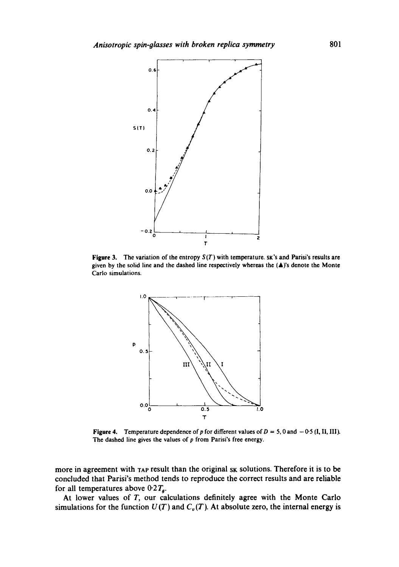

**Figure** 3. The **variation** of the entropy *S(T)* with temperature. SK'S and Parisi's **results are**  given by the solid line and the dashed line respectively whereas the (&)'s denote the **Monte Carlo** simulations.



Figure 4. Temperature dependence of p for different values of  $D = 5$ , 0 and  $-0.5$  (I, II, III). The dashed line gives the values of  $p$  from Parisi's free energy.

**more in agreement with TAP result than the original SK solutions. Therefore it is to be concluded that Parisi's method tends to reproduce the correct results and are reliable**  for all temperatures above  $0.2 T<sub>g</sub>$ .

**At lower values of T, our calculations definitely agree with the Monte Carlo**  simulations for the function  $U(T)$  and  $C_v(T)$ . At absolute zero, the internal energy is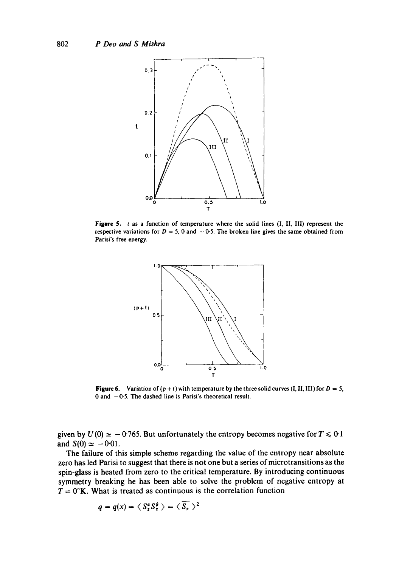

Figure 5. t as a function of temperature where the solid lines (I, II, III) represent the respective variations for  $D = 5$ , 0 and  $-0.5$ . The broken line gives the same obtained from **Parisi's free energy.** 



**Figure 6.** Variation of  $(p + t)$  with temperature by the three solid curves  $(I, II, III)$  for  $D = 5$ , 0 and -0'5. **The dashed line is Parisi's theoretical result.** 

given by  $U(0) \simeq -0.765$ . But unfortunately the entropy becomes negative for  $T \le 0.1$ and  $S(0) \simeq -0.01$ .

**The failure of this simple scheme regarding the value of the entropy near absolute zero has led Parisi to suggest that there is not one but a series of microtransitions asthe spin-glass is heated from zero to the critical temperature. By introducing continuous symmetry breaking he has been able to solve the problem of negative entropy at**   $T = 0^\circ K$ . What is treated as continuous is the correlation function

$$
q=q(x)=\langle S_z^{\alpha}S_z^{\beta}\rangle=\langle S_z\rangle^2
$$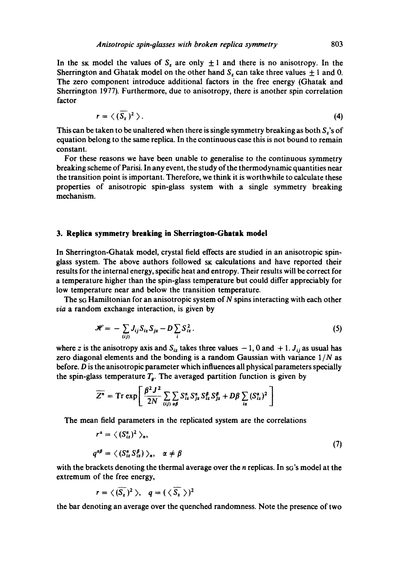In the sk model the values of  $S_z$  are only  $\pm 1$  and there is no anisotropy. In the Sherrington and Ghatak model on the other hand  $S_z$  can take three values  $\pm 1$  and 0. The zero component introduce additional factors in the free energy (Ghatak and Sherrington 1977). Furthermore, due to anisotropy, there is another spin correlation factor

$$
r = \langle (\overline{S_z})^2 \rangle.
$$
 (4)

This can be taken to be unaltered when there is single symmetry breaking as both  $S_z$ 's of equation belong to the same replica. In the continuous case this is not bound to remain constant.

For these reasons we have been unable to generalise to the continuous symmetry breaking scheme of Parisi. In any event, the study of the thermodynamic quantities near the transition point is important. Therefore, we think it is worthwhile to calculate these properties of anisotropic spin-glass system with a single symmetry breaking mechanism.

#### **3. Replica symmetry breaking in Sherrington-Ghatak model**

In Sherrington-Ghatak model, crystal field effects are studied in an anisotropic spinglass system. The above authors followed sk calculations and have reported their results for the internal energy, specific heat and entropy. Their results will be correct for a temperature higher than the spin-glass temperature but could differ appreciably for low temperature near and below the transition temperature.

The sg Hamiltonian for an anisotropic system of N spins interacting with each other *via* a random exchange interaction, is given by

$$
\mathscr{H} = -\sum_{(ij)} J_{ij} S_{iz} S_{jz} - D \sum_i S_{iz}^2.
$$
 (5)

where z is the anisotropy axis and  $S_{iz}$  takes three values  $-1$ , 0 and  $+1$ .  $J_{ij}$  as usual has zero diagonal elements and the bonding is a random Gaussian with variance  $1/N$  as before. D is the anisotropic parameter which influences all physical parameters specially the spin-glass temperature  $T<sub>g</sub>$ . The averaged partition function is given by

$$
\overline{Z^n} = \text{Tr} \, \exp \left[ \frac{\beta^2 J^2}{2N} \sum_{(ij)} \sum_{\alpha\beta} S_{iz}^{\alpha} S_{jz}^{\beta} S_{iz}^{\beta} S_{jz}^{\beta} + D\beta \sum_{i\alpha} (S_{iz}^{\alpha})^2 \right]
$$

The mean field parameters in the replicated system are the correlations

$$
r^{\alpha} = \langle (S_{iz}^{\alpha})^2 \rangle_n,
$$
  
\n
$$
q^{\alpha\beta} = \langle (S_{iz}^{\alpha} S_{iz}^{\beta}) \rangle_n, \alpha \neq \beta
$$
\n(7)

with the brackets denoting the thermal average over the *n* replicas. In so's model at the extremum of the free energy,

$$
r = \langle (\overline{S_z})^2 \rangle, \quad q = (\langle \overline{S_z} \rangle)^2
$$

the bar denoting an average over the quenched randomness. Note the presence of two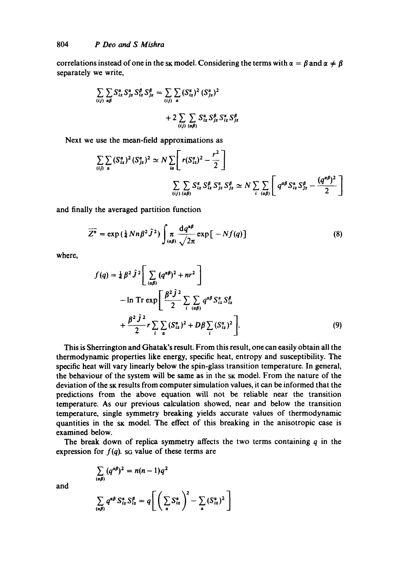correlations instead of one in the sk model. Considering the terms with  $\alpha = \beta$  and  $\alpha \neq \beta$ separately we write,

$$
\sum_{(ij)} \sum_{\alpha\beta} S_{iz}^{\alpha} S_{jz}^{\beta} S_{iz}^{\beta} S_{jz}^{\beta} = \sum_{(ij)} \sum_{\alpha} (S_{iz}^{\alpha})^2 (S_{jz}^{\alpha})^2
$$
  
+2 $\sum_{(ij)} \sum_{(\alpha\beta)} S_{iz}^{\alpha} S_{jz}^{\beta} S_{iz}^{\alpha} S_{jz}^{\beta}$ 

Next we use the mean-field approximations as

$$
\sum_{(ij)} \sum_{\alpha} (S_{iz}^{\alpha})^2 (S_{jz}^{\alpha})^2 \simeq N \sum_{i\alpha} \left[ r(S_{iz}^{\alpha})^2 - \frac{r^2}{2} \right]
$$
  

$$
\sum_{(ij)} \sum_{(\alpha\beta)} S_{iz}^{\alpha} S_{jz}^{\beta} S_{jz}^{\alpha} S_{jz}^{\beta} \simeq N \sum_{i} \sum_{(\alpha\beta)} \left[ q^{\alpha\beta} S_{iz}^{\alpha} S_{jz}^{\beta} - \frac{(q^{\alpha\beta})^2}{2} \right]
$$

and finally the averaged partition function

$$
\overline{Z^n} = \exp\left(\frac{1}{4}Nn\beta^2\tilde{J}^2\right) \int_{(a\beta)} \frac{dq^{a\beta}}{\sqrt{2\pi}} \exp\big[-Nf(q)\big] \tag{8}
$$

where,

$$
f(q) = \frac{1}{4} \beta^2 \tilde{J}^2 \left[ \sum_{(a\beta)} (q^{a\beta})^2 + nr^2 \right] - \ln Tr \exp \left[ \frac{\beta^2 \tilde{J}^2}{2} \sum_i \sum_{(a\beta)} q^{a\beta} S_{iz}^a S_{iz}^{\beta} + \frac{\beta^2 \tilde{J}^2}{2} r \sum_i \sum_{\alpha} (S_{iz}^{\alpha})^2 + D\beta \sum_i (S_{iz}^{\alpha})^2 \right].
$$
 (9)

This is Sherrington and Ghatak's result. From this result, one can easily obtain all the thermodynamic properties like energy, specific heat, entropy and susceptibility. The specific heat will vary linearly below the spin-glass transition temperature. In general, the behaviour of the system will be same as in the sk model. From the nature of the deviation of the sk results from computer simulation values, it can be informed that the predictions from the above equation will not be reliable near the transition temperature. As our previous calculation showed, near and below the transition temperature, single symmetry breaking yields accurate values of thermodynamic quantities in the sk model. The effect of this breaking in the anisotropic case is examined below.

The break down of replica symmetry affects the two terms containing  $q$  in the expression for  $f(q)$ . sq value of these terms are

and

$$
\sum_{(a\beta)} q^{\alpha\beta} S_{iz}^{\alpha} S_{iz}^{\beta} = q \Bigg[ \left( \sum_{\alpha} S_{iz}^{\alpha} \right)^2 - \sum_{\alpha} (S_{iz}^{\alpha})^2 \Bigg]
$$

 $(a^{a\beta})^2 = n(n-1)q^2$ 

 $\overline{(\overline{a}\beta)}$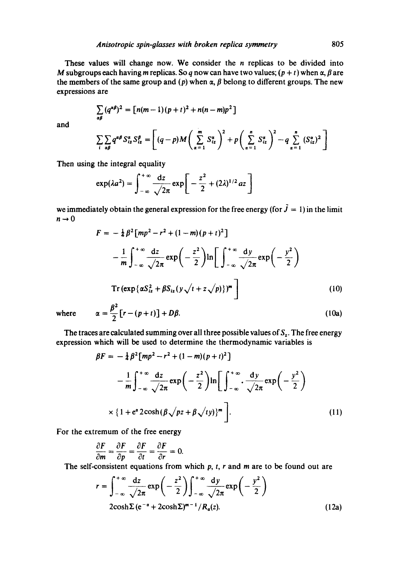These values will change now. We consider the  $n$  replicas to be divided into M subgroups each having m replicas. So q now can have two values;  $(p + t)$  when  $\alpha$ ,  $\beta$  are the members of the same group and (p) when  $\alpha$ ,  $\beta$  belong to different groups. The new expressions are

$$
\sum_{\alpha\beta}(q^{\alpha\beta})^2=\left[n(m-1)(p+t)^2+n(n-m)p^2\right]
$$

and

$$
\sum_{i} \sum_{\alpha \beta} q^{\alpha \beta} S_{iz}^{\alpha} S_{iz}^{\beta} = \left[ (q-p) M \left( \sum_{\alpha=1}^{m} S_{iz}^{\alpha} \right)^2 + p \left( \sum_{\alpha=1}^{n} S_{iz}^{\alpha} \right)^2 - q \sum_{\alpha=1}^{n} (S_{iz}^{\alpha})^2 \right]
$$

Then using the integral equality

$$
\exp(\lambda a^2) = \int_{-\infty}^{+\infty} \frac{\mathrm{d}z}{\sqrt{2\pi}} \exp\left[-\frac{z^2}{2} + (2\lambda)^{1/2} a z\right]
$$

we immediately obtain the general expression for the free energy (for  $\tilde{J} = 1$ ) in the limit  $n\rightarrow 0$ 

$$
F = -\frac{1}{4}\beta^2 \left[ m p^2 - r^2 + (1 - m)(p + t)^2 \right]
$$
  

$$
- \frac{1}{m} \int_{-\infty}^{+\infty} \frac{dz}{\sqrt{2\pi}} \exp\left(-\frac{z^2}{2}\right) \ln\left[\int_{-\infty}^{+\infty} \frac{dy}{\sqrt{2\pi}} \exp\left(-\frac{y^2}{2}\right)\right]
$$
  
Tr $(\exp{\{\alpha S_{ix}^2 + \beta S_{ix}(y\sqrt{t + z}\sqrt{p})\}})^m$  (10)  
where  $\alpha = \frac{\beta^2}{2} \left[ r - (p + t) \right] + D\beta.$  (10a)

$$
2 \frac{1}{2} \frac{1}{2} \frac{1}{2} \frac{1}{2} \frac{1}{2} \frac{1}{2} \frac{1}{2} \frac{1}{2} \frac{1}{2} \frac{1}{2} \frac{1}{2} \frac{1}{2} \frac{1}{2} \frac{1}{2} \frac{1}{2} \frac{1}{2} \frac{1}{2} \frac{1}{2} \frac{1}{2} \frac{1}{2} \frac{1}{2} \frac{1}{2} \frac{1}{2} \frac{1}{2} \frac{1}{2} \frac{1}{2} \frac{1}{2} \frac{1}{2} \frac{1}{2} \frac{1}{2} \frac{1}{2} \frac{1}{2} \frac{1}{2} \frac{1}{2} \frac{1}{2} \frac{1}{2} \frac{1}{2} \frac{1}{2} \frac{1}{2} \frac{1}{2} \frac{1}{2} \frac{1}{2} \frac{1}{2} \frac{1}{2} \frac{1}{2} \frac{1}{2} \frac{1}{2} \frac{1}{2} \frac{1}{2} \frac{1}{2} \frac{1}{2} \frac{1}{2} \frac{1}{2} \frac{1}{2} \frac{1}{2} \frac{1}{2} \frac{1}{2} \frac{1}{2} \frac{1}{2} \frac{1}{2} \frac{1}{2} \frac{1}{2} \frac{1}{2} \frac{1}{2} \frac{1}{2} \frac{1}{2} \frac{1}{2} \frac{1}{2} \frac{1}{2} \frac{1}{2} \frac{1}{2} \frac{1}{2} \frac{1}{2} \frac{1}{2} \frac{1}{2} \frac{1}{2} \frac{1}{2} \frac{1}{2} \frac{1}{2} \frac{1}{2} \frac{1}{2} \frac{1}{2} \frac{1}{2} \frac{1}{2} \frac{1}{2} \frac{1}{2} \frac{1}{2} \frac{1}{2} \frac{1}{2} \frac{1}{2} \frac{1}{2} \frac{1}{2} \frac{1}{2} \frac{1}{2} \frac{1}{2} \frac{1}{2} \frac{1}{2} \frac{1}{2} \frac{1}{2} \frac{1}{2} \frac{1}{2} \frac{1}{2} \frac{1}{2} \frac{1}{2} \frac{1}{2} \frac{1}{2} \frac{1}{2} \frac{1}{2} \frac
$$

expression which will be used to determine the thermodynamic variables is

$$
\beta F = -\frac{1}{4} \beta^2 \left[ m p^2 - r^2 + (1 - m)(p + t)^2 \right]
$$
  

$$
- \frac{1}{m} \int_{-\infty}^{+\infty} \frac{dz}{\sqrt{2\pi}} \exp\left(-\frac{z^2}{2}\right) \ln\left[\int_{-\infty}^{+\infty} \frac{dy}{\sqrt{2\pi}} \exp\left(-\frac{y^2}{2}\right) \right]
$$
  

$$
\times \left\{1 + e^{\alpha} 2 \cosh\left(\beta \sqrt{pz} + \beta \sqrt{ty}\right)\right\}^m\right].
$$
 (11)

For the extremum of the free energy

$$
\frac{\partial F}{\partial m} = \frac{\partial F}{\partial p} = \frac{\partial F}{\partial t} = \frac{\partial F}{\partial r} = 0.
$$

The self-consistent equations from which  $p$ ,  $t$ ,  $r$  and  $m$  are to be found out are

$$
r = \int_{-\infty}^{+\infty} \frac{dz}{\sqrt{2\pi}} \exp\left(-\frac{z^2}{2}\right) \int_{-\infty}^{+\infty} \frac{dy}{\sqrt{2\pi}} \exp\left(-\frac{y^2}{2}\right)
$$
  
2\cosh\Sigma (e^{-\alpha} + 2\cosh\Sigma)^{m-1}/R\_{\alpha}(z). (12a)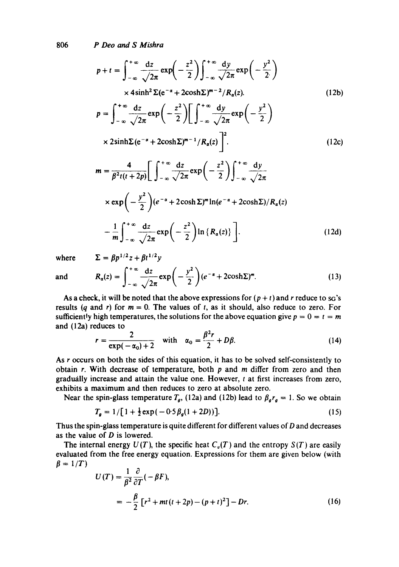806 *P Deo and S Mishra* 

$$
p + t = \int_{-\infty}^{+\infty} \frac{dz}{\sqrt{2\pi}} \exp\left(-\frac{z^2}{2}\right) \int_{-\infty}^{+\infty} \frac{dy}{\sqrt{2\pi}} \exp\left(-\frac{y^2}{2}\right)
$$
  
\n
$$
\times 4\sinh^2 \Sigma (e^{-\alpha} + 2\cosh \Sigma)^{m-2} / R_{\alpha}(z).
$$
  
\n
$$
p = \int_{-\infty}^{+\infty} \frac{dz}{\sqrt{2\pi}} \exp\left(-\frac{z^2}{2}\right) \left[ \int_{-\infty}^{+\infty} \frac{dy}{\sqrt{2\pi}} \exp\left(-\frac{y^2}{2}\right) \right]
$$
  
\n
$$
\times 2\sinh \Sigma (e^{-\alpha} + 2\cosh \Sigma)^{m-1} / R_{\alpha}(z) \Big]^{2}.
$$
  
\n
$$
m = \frac{4}{\beta^2 t (t + 2p)} \left[ \int_{-\infty}^{+\infty} \frac{dz}{\sqrt{2\pi}} \exp\left(-\frac{z^2}{2}\right) \int_{-\infty}^{+\infty} \frac{dy}{\sqrt{2\pi}} \right]
$$
  
\n
$$
\times \exp\left(-\frac{y^2}{2}\right) (e^{-\alpha} + 2\cosh \Sigma)^m \ln(e^{-\alpha} + 2\cosh \Sigma) / R_{\alpha}(z)
$$
  
\n(12c)

$$
-\frac{1}{m}\int_{-\infty}^{+\infty}\frac{dz}{\sqrt{2\pi}}\exp\bigg(-\frac{z^2}{2}\bigg)\ln\big\{R_\alpha(z)\big\}\bigg].
$$
 (12d)

where 
$$
\Sigma = \beta p^{1/2} z + \beta t^{1/2} y
$$

and 
$$
R_{\alpha}(z) = \int_{-\infty}^{+\infty} \frac{dz}{\sqrt{2\pi}} \exp\left(-\frac{y^2}{2}\right) (e^{-\alpha} + 2\cosh\Sigma)^m.
$$
 (13)

As a check, it will be noted that the above expressions for  $(p + t)$  and r reduce to so's results (q and r) for  $m = 0$ . The values of t, as it should, also reduce to zero. For sufficiently high temperatures, the solutions for the above equation give  $p = 0 = t = m$ and (12a) reduces to

$$
r = \frac{2}{\exp(-\alpha_0) + 2} \quad \text{with} \quad \alpha_0 = \frac{\beta^2 r}{2} + D\beta. \tag{14}
$$

As r occurs on both the sides of this equation, it has to be solved self-consistently to obtain  $r$ . With decrease of temperature, both  $p$  and  $m$  differ from zero and then gradually increase and attain the value one. However,  $t$  at first increases from zero, exhibits a maximum and then reduces to zero at absolute zero.

Near the spin-glass temperature  $T_g$ , (12a) and (12b) lead to  $\beta_g r_g = 1$ . So we obtain

$$
T_g = 1/[1 + \frac{1}{2} \exp(-0.5\beta_g(1 + 2D))]. \tag{15}
$$

Thus the spin-glass temperature is quite different for different values of D and decreases as the value of  $D$  is lowered.

The internal energy  $U(T)$ , the specific heat  $C_{\nu}(T)$  and the entropy  $S(T)$  are easily evaluated from the free energy equation. Expressions for them are given below (with  $\beta = 1/T$ 

$$
U(T) = \frac{1}{\beta^2} \frac{\partial}{\partial T} (-\beta F),
$$
  
= 
$$
-\frac{\beta}{2} \left[ r^2 + mt(t+2p) - (p+t)^2 \right] - Dr.
$$
 (16)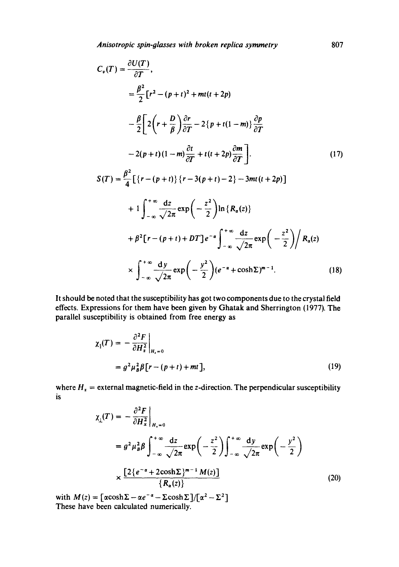$$
C_v(T) = \frac{\partial U(T)}{\partial T},
$$
  
\n
$$
= \frac{\beta^2}{2} [r^2 - (p+t)^2 + mt(t+2p)
$$
  
\n
$$
- \frac{\beta}{2} \left[ 2\left(r + \frac{D}{\beta}\right) \frac{\partial r}{\partial T} - 2\{p+t(1-m)\} \frac{\partial p}{\partial T} - 2\{p+t(1-m)\} \frac{\partial r}{\partial T} - 2\{p+t(1-m)\} \frac{\partial r}{\partial T} + t(t+2p) \frac{\partial m}{\partial T} \right].
$$
  
\n
$$
S(T) = \frac{\beta^2}{4} \left[ \{r - (p+t)\} \{r - 3(p+t) - 2\} - 3mt(t+2p) \right]
$$
  
\n
$$
+ 1 \int_{-\infty}^{+\infty} \frac{dz}{\sqrt{2\pi}} \exp\left(-\frac{z^2}{2}\right) \ln\{R_\alpha(z)\}
$$
  
\n
$$
+ \beta^2 [r - (p+t) + DT] e^{-\alpha} \int_{-\infty}^{+\infty} \frac{dz}{\sqrt{2\pi}} \exp\left(-\frac{z^2}{2}\right) / R_\alpha(z)
$$
  
\n
$$
\times \int_{-\infty}^{+\infty} \frac{dy}{\sqrt{2\pi}} \exp\left(-\frac{y^2}{2}\right) (e^{-\alpha} + \cosh \Sigma)^{m-1}.
$$
 (18)

It should be noted that the susceptibility has got two components due to the crystal field effects. Expressions for them have been given by Ghatak and Sherrington (1977). The parallel susceptibility is obtained from free energy as

$$
\chi_{\parallel}(T) = -\frac{\partial^2 F}{\partial H_z^2}\Big|_{H_z=0}
$$
  
=  $g^2 \mu_B^2 \beta [r - (p+t) + mt],$  (19)

where  $H_z$  = external magnetic-field in the z-direction. The perpendicular susceptibility is

$$
\chi_{\perp}(T) = -\frac{\partial^2 F}{\partial H_x^2}\Big|_{H_x=0}
$$
  
=  $g^2 \mu_B^2 \beta \int_{-\infty}^{+\infty} \frac{dz}{\sqrt{2\pi}} \exp\left(-\frac{z^2}{2}\right) \int_{-\infty}^{+\infty} \frac{dy}{\sqrt{2\pi}} \exp\left(-\frac{y^2}{2}\right)$   
 $\times \frac{[2\{e^{-\alpha} + 2\cosh\Sigma\}^{m-1} M(z)]}{\{R_{\alpha}(z)\}}$  (20)

with  $M(z) = [\alpha \cosh \Sigma - \alpha e^{-\alpha} - \Sigma \cosh \Sigma]/[\alpha^2 - \Sigma^2]$ These have been calculated numerically.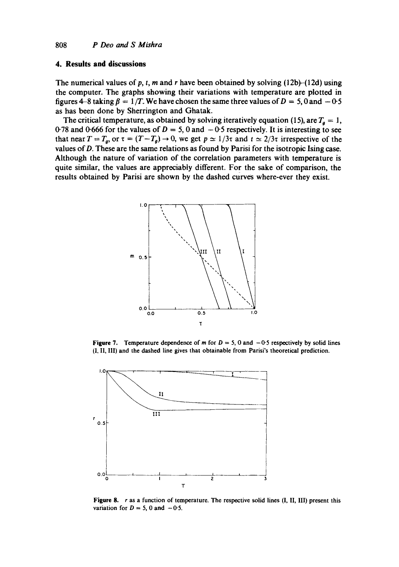#### **4. Results and discussions**

The numerical values of p, t, m and r have been obtained by solving  $(12b)$ - $(12d)$  using the computer. The graphs showing their variations with temperature are plotted in figures 4-8 taking  $\beta = 1/T$ . We have chosen the same three values of  $D = 5$ , 0 and  $-0.5$ as has been done by Sherrington and Ghatak.

The critical temperature, as obtained by solving iteratively equation (15), are  $T<sub>g</sub> = 1$ , 0.78 and 0.666 for the values of  $D = 5$ , 0 and  $-0.5$  respectively. It is interesting to see that near  $T = T_g$ , or  $\tau = (T - T_g) \rightarrow 0$ , we get  $p \approx 1/3\tau$  and  $t \approx 2/3\tau$  irrespective of the values of  $D$ . These are the same relations as found by Parisi for the isotropic Ising case. Although the nature of variation of the correlation parameters with temperature is quite similar, the values are appreciably different. For the sake of comparison, the results obtained by Parisi are shown by the dashed curves where-ever they exist.



Figure 7. Temperature dependence of m for  $D = 5$ , 0 and  $-0.5$  respectively by solid lines (I, II, III) and the dashed line gives that obtainable from Parisi's theoretical prediction.



Figure 8.  $r$  as a function of temperature. The respective solid lines  $(I, II, III)$  present this variation for  $D = 5$ , 0 and  $-0.5$ .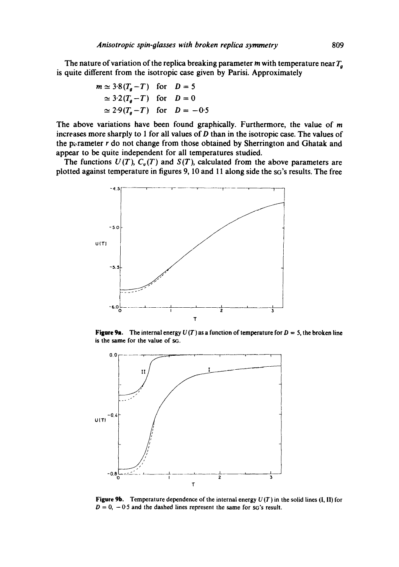The nature of variation of the replica breaking parameter m with temperature near  $T_a$ **is quite different from the isotropic case given by Parisi. Approximately** 

$$
m \approx 3.8(T_g - T) \quad \text{for} \quad D = 5
$$
  
\n
$$
\approx 3.2(T_g - T) \quad \text{for} \quad D = 0
$$
  
\n
$$
\approx 2.9(T_g - T) \quad \text{for} \quad D = -0.5
$$

**The above variations have been found graphically. Furthermore, the value of m increases more sharply to 1 for all values of D than in the isotropic case. The values of**  the p<sub>x</sub>-rameter r do not change from those obtained by Sherrington and Ghatak and **appear to be quite independent for all temperatures studied.** 

The functions  $U(T)$ ,  $C_{\nu}(T)$  and  $S(T)$ , calculated from the above parameters are **plotted against temperature in figures 9, 10 and 11 along side the sG's results. The free** 



**Figure 9a.** The internal energy  $U(T)$  as a function of temperature for  $D = 5$ , the broken line **is the same for the value of sG.** 



**Figure 9b. Temperature dependence of the internal energy** *U(T)* **in the solid lines (I, II) for**   $D = 0$ ,  $-0.5$  and the dashed lines represent the same for sG's result.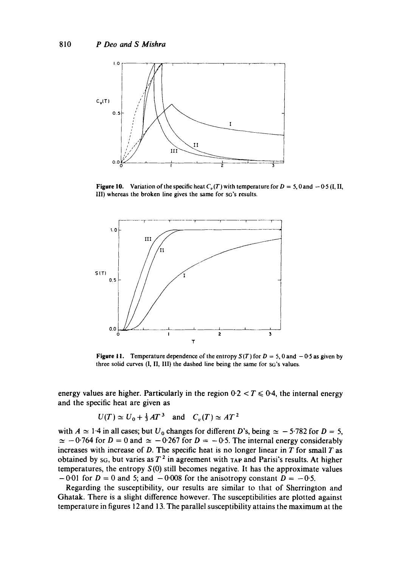

**Figure 10.** Variation of the specific heat  $C_v(T)$  with temperature for  $D = 5$ , 0 and  $-0.5$  (I, II, 1II) whereas the broken line gives the same for SG'S results.



**Figure 11.** Temperature dependence of the entropy  $S(T)$  for  $D = 5$ , 0 and  $-0.5$  as given by three solid curves (I, II, III) the dashed line being the same for SG'S values.

energy values are higher. Particularly in the region  $0.2 < T \le 0.4$ , the internal energy and the specific heat are given as

$$
U(T) \simeq U_0 + \frac{1}{3}AT^3 \quad \text{and} \quad C_v(T) \simeq AT^2
$$

with  $A \simeq 1.4$  in all cases; but  $U_0$  changes for different D's, being  $\simeq -5.782$  for  $D = 5$ ,  $\simeq -0.764$  for  $D = 0$  and  $\simeq -0.267$  for  $D = -0.5$ . The internal energy considerably increases with increase of  $D$ . The specific heat is no longer linear in  $T$  for small  $T$  as obtained by sq, but varies as  $T^2$  in agreement with TAP and Parisi's results. At higher temperatures, the entropy  $S(0)$  still becomes negative. It has the approximate values  $-0.01$  for  $D = 0$  and 5; and  $-0.008$  for the anisotropy constant  $D = -0.5$ .

Regarding the susceptibility, our results are similar to that of Sherrington and Ghatak. There is a slight difference however. The susceptibilities are plotted against temperature in figures 12 and 13. The parallel susceptibility attains the maximum at the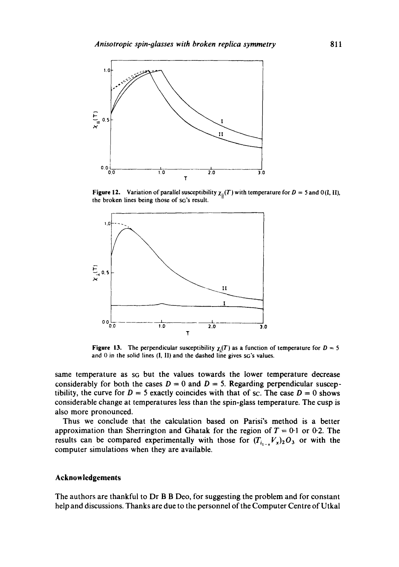

**Figure 12.** Variation of parallel susceptibility  $\chi_{\parallel}(T)$  with temperature for  $D = 5$  and 0(I, II), **the broken lines being those of SG'S result.** 



**Figure 13.** The perpendicular susceptibility  $\chi_1(T)$  as a function of temperature for  $D = 5$ **and 0 in the solid lines** (I, 11) **and the dashed line gives SG'S values.** 

**same temperature as SG but the values towards the lower temperature decrease**  considerably for both the cases  $D = 0$  and  $D = 5$ . Regarding perpendicular susceptibility, the curve for  $D = 5$  exactly coincides with that of sc. The case  $D = 0$  shows **considerable change at temperatures less than the spin-glass temperature. The cusp is also more pronounced.** 

**Thus we conclude that the calculation based on Parisi's method is a better**  approximation than Sherrington and Ghatak for the region of  $T = 0.1$  or 0.2. The results can be compared experimentally with those for  $(T_{i_{1-x}}V_x)_2O_3$  or with the **computer simulations when they are available.** 

## **Acknowledgements**

**The authors are thankful to Dr B B Deo, for suggesting the problem and for constant help and discussions. Thanks are due to the personnel of the Computer Centre of Utkal**